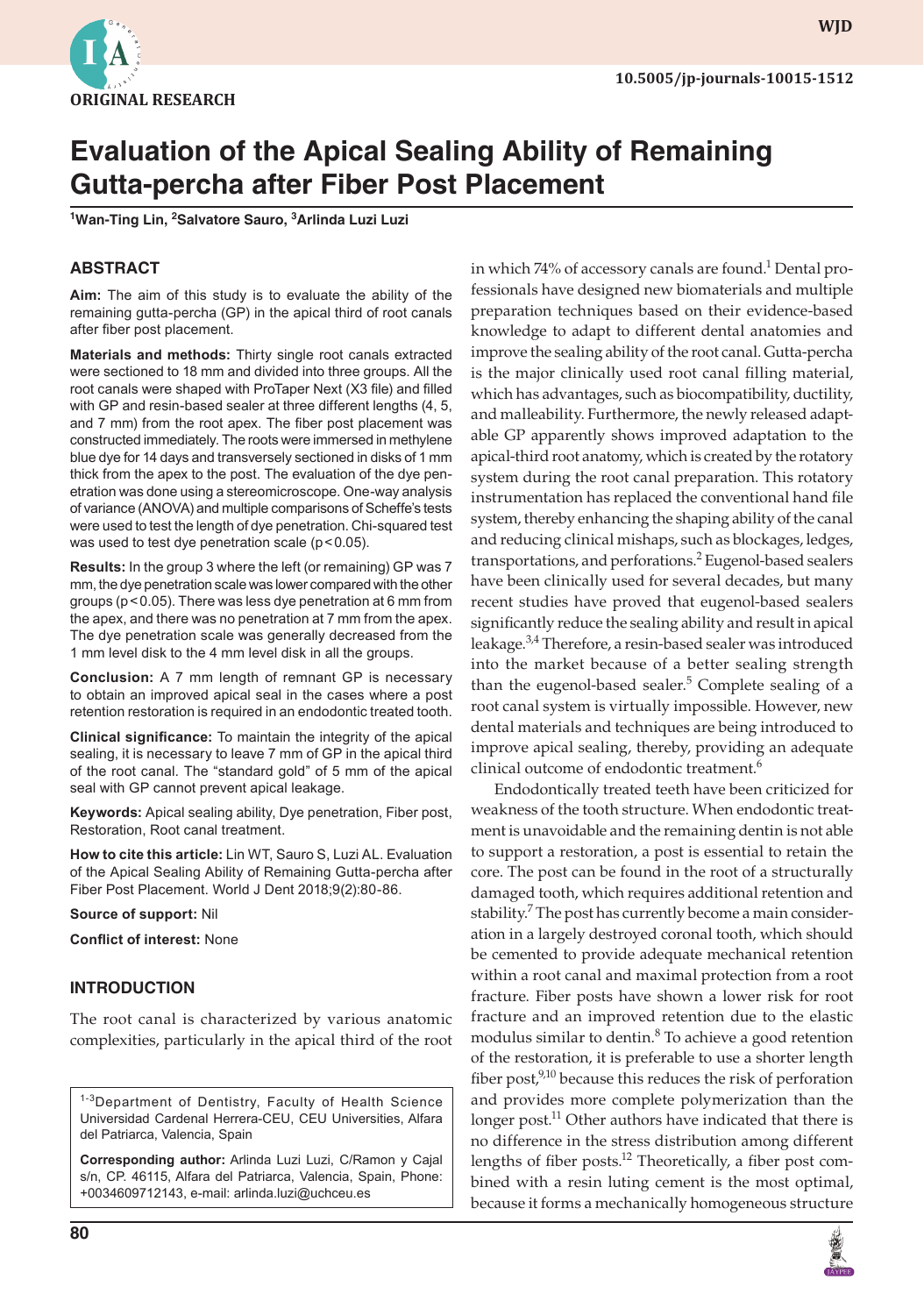

**wjd**

# **Evaluation of the Apical Sealing Ability of Remaining Gutta-percha after Fiber Post Placement**

**1 Wan-Ting Lin, 2 Salvatore Sauro, 3 Arlinda Luzi Luzi**

#### **ABSTRACT**

**Aim:** The aim of this study is to evaluate the ability of the remaining gutta-percha (GP) in the apical third of root canals after fiber post placement.

**Materials and methods:** Thirty single root canals extracted were sectioned to 18 mm and divided into three groups. All the root canals were shaped with ProTaper Next (X3 file) and filled with GP and resin-based sealer at three different lengths (4, 5, and 7 mm) from the root apex. The fiber post placement was constructed immediately. The roots were immersed in methylene blue dye for 14 days and transversely sectioned in disks of 1 mm thick from the apex to the post. The evaluation of the dye penetration was done using a stereomicroscope. One-way analysis of variance (ANOVA) and multiple comparisons of Scheffe's tests were used to test the length of dye penetration. Chi-squared test was used to test dye penetration scale ( $p < 0.05$ ).

**Results:** In the group 3 where the left (or remaining) GP was 7 mm, the dye penetration scale was lower compared with the other groups (p<0.05). There was less dye penetration at 6 mm from the apex, and there was no penetration at 7 mm from the apex. The dye penetration scale was generally decreased from the 1 mm level disk to the 4 mm level disk in all the groups.

**Conclusion:** A 7 mm length of remnant GP is necessary to obtain an improved apical seal in the cases where a post retention restoration is required in an endodontic treated tooth.

**Clinical significance:** To maintain the integrity of the apical sealing, it is necessary to leave 7 mm of GP in the apical third of the root canal. The "standard gold" of 5 mm of the apical seal with GP cannot prevent apical leakage.

**Keywords:** Apical sealing ability, Dye penetration, Fiber post, Restoration, Root canal treatment.

**How to cite this article:** Lin WT, Sauro S, Luzi AL. Evaluation of the Apical Sealing Ability of Remaining Gutta-percha after Fiber Post Placement. World J Dent 2018;9(2):80-86.

**Source of support:** Nil

**Conflict of interest:** None

#### **INTRODUCTION**

The root canal is characterized by various anatomic complexities, particularly in the apical third of the root

<sup>1-3</sup>Department of Dentistry, Faculty of Health Science Universidad Cardenal Herrera-CEU, CEU Universities, Alfara del Patriarca, Valencia, Spain

**Corresponding author:** Arlinda Luzi Luzi, C/Ramon y Cajal s/n, CP. 46115, Alfara del Patriarca, Valencia, Spain, Phone: +0034609712143, e-mail: arlinda.luzi@uchceu.es

in which 74% of accessory canals are found.<sup>1</sup> Dental professionals have designed new biomaterials and multiple preparation techniques based on their evidence-based knowledge to adapt to different dental anatomies and improve the sealing ability of the root canal. Gutta-percha is the major clinically used root canal filling material, which has advantages, such as biocompatibility, ductility, and malleability. Furthermore, the newly released adaptable GP apparently shows improved adaptation to the apical-third root anatomy, which is created by the rotatory system during the root canal preparation. This rotatory instrumentation has replaced the conventional hand file system, thereby enhancing the shaping ability of the canal and reducing clinical mishaps, such as blockages, ledges, transportations, and perforations.<sup>2</sup> Eugenol-based sealers have been clinically used for several decades, but many recent studies have proved that eugenol-based sealers significantly reduce the sealing ability and result in apical leakage.3,4 Therefore, a resin-based sealer was introduced into the market because of a better sealing strength than the eugenol-based sealer.<sup>5</sup> Complete sealing of a root canal system is virtually impossible. However, new dental materials and techniques are being introduced to improve apical sealing, thereby, providing an adequate clinical outcome of endodontic treatment.<sup>6</sup>

Endodontically treated teeth have been criticized for weakness of the tooth structure. When endodontic treatment is unavoidable and the remaining dentin is not able to support a restoration, a post is essential to retain the core. The post can be found in the root of a structurally damaged tooth, which requires additional retention and stability. $^7$  The post has currently become a main consideration in a largely destroyed coronal tooth, which should be cemented to provide adequate mechanical retention within a root canal and maximal protection from a root fracture. Fiber posts have shown a lower risk for root fracture and an improved retention due to the elastic modulus similar to dentin. $8$  To achieve a good retention of the restoration, it is preferable to use a shorter length fiber post, $9,10$  because this reduces the risk of perforation and provides more complete polymerization than the longer post.<sup>11</sup> Other authors have indicated that there is no difference in the stress distribution among different lengths of fiber posts.<sup>12</sup> Theoretically, a fiber post combined with a resin luting cement is the most optimal, because it forms a mechanically homogeneous structure

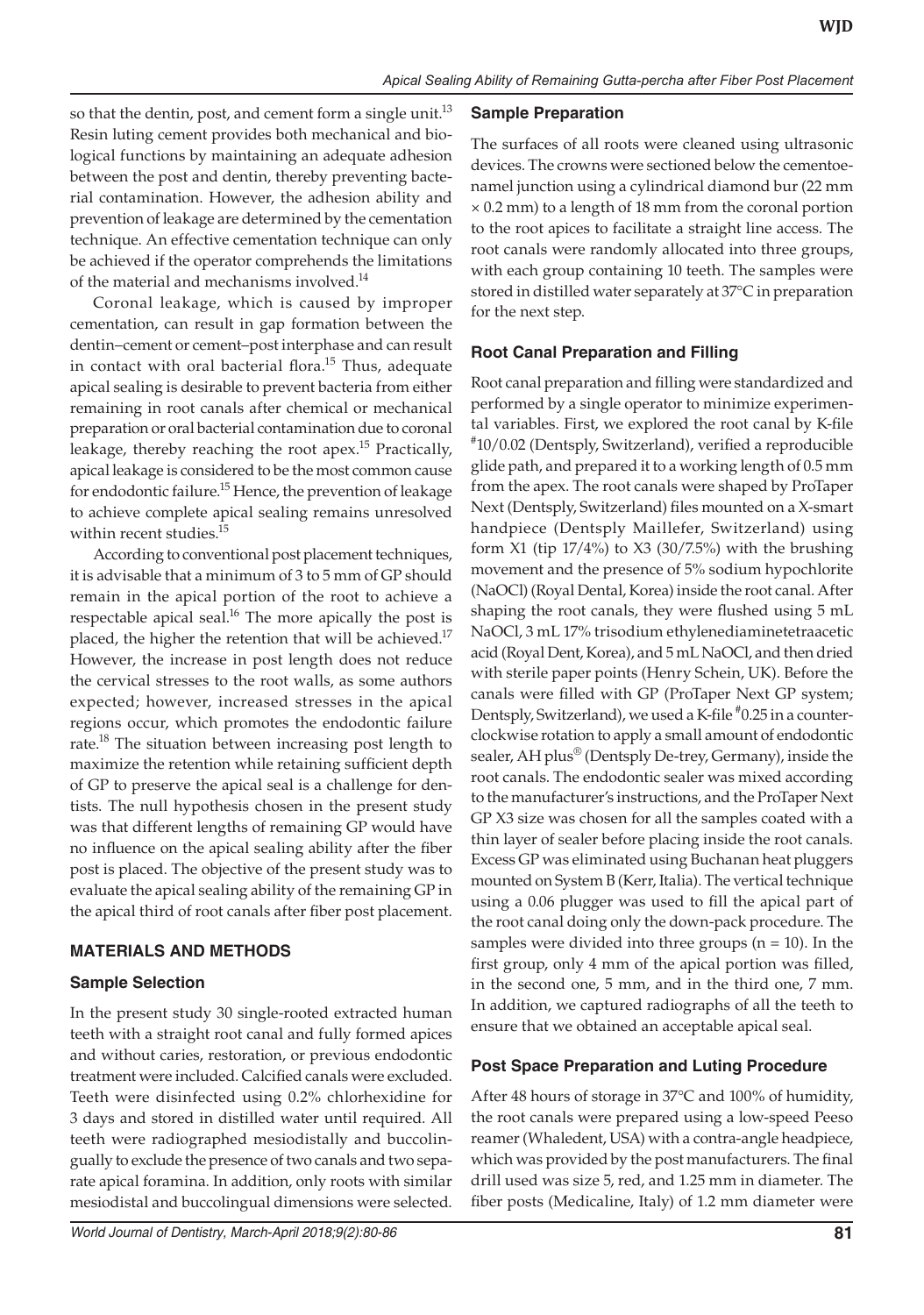so that the dentin, post, and cement form a single unit. $13$ Resin luting cement provides both mechanical and biological functions by maintaining an adequate adhesion between the post and dentin, thereby preventing bacterial contamination. However, the adhesion ability and prevention of leakage are determined by the cementation technique. An effective cementation technique can only be achieved if the operator comprehends the limitations of the material and mechanisms involved.<sup>14</sup>

Coronal leakage, which is caused by improper cementation, can result in gap formation between the dentin–cement or cement–post interphase and can result in contact with oral bacterial flora.<sup>15</sup> Thus, adequate apical sealing is desirable to prevent bacteria from either remaining in root canals after chemical or mechanical preparation or oral bacterial contamination due to coronal leakage, thereby reaching the root apex.15 Practically, apical leakage is considered to be the most common cause for endodontic failure.<sup>15</sup> Hence, the prevention of leakage to achieve complete apical sealing remains unresolved within recent studies.15

According to conventional post placement techniques, it is advisable that a minimum of 3 to 5 mm of GP should remain in the apical portion of the root to achieve a respectable apical seal.<sup>16</sup> The more apically the post is placed, the higher the retention that will be achieved.<sup>17</sup> However, the increase in post length does not reduce the cervical stresses to the root walls, as some authors expected; however, increased stresses in the apical regions occur, which promotes the endodontic failure rate.<sup>18</sup> The situation between increasing post length to maximize the retention while retaining sufficient depth of GP to preserve the apical seal is a challenge for dentists. The null hypothesis chosen in the present study was that different lengths of remaining GP would have no influence on the apical sealing ability after the fiber post is placed. The objective of the present study was to evaluate the apical sealing ability of the remaining GP in the apical third of root canals after fiber post placement.

## **MATERIALS AND METHODS**

## **Sample Selection**

In the present study 30 single-rooted extracted human teeth with a straight root canal and fully formed apices and without caries, restoration, or previous endodontic treatment were included. Calcified canals were excluded. Teeth were disinfected using 0.2% chlorhexidine for 3 days and stored in distilled water until required. All teeth were radiographed mesiodistally and buccolingually to exclude the presence of two canals and two separate apical foramina. In addition, only roots with similar mesiodistal and buccolingual dimensions were selected.

#### **Sample Preparation**

The surfaces of all roots were cleaned using ultrasonic devices. The crowns were sectioned below the cementoenamel junction using a cylindrical diamond bur (22 mm × 0.2 mm) to a length of 18 mm from the coronal portion to the root apices to facilitate a straight line access. The root canals were randomly allocated into three groups, with each group containing 10 teeth. The samples were stored in distilled water separately at 37°C in preparation for the next step.

## **Root Canal Preparation and Filling**

Root canal preparation and filling were standardized and performed by a single operator to minimize experimental variables. First, we explored the root canal by K-file # 10/0.02 (Dentsply, Switzerland), verified a reproducible glide path, and prepared it to a working length of 0.5 mm from the apex. The root canals were shaped by ProTaper Next (Dentsply, Switzerland) files mounted on a X-smart handpiece (Dentsply Maillefer, Switzerland) using form  $X1$  (tip 17/4%) to  $X3$  (30/7.5%) with the brushing movement and the presence of 5% sodium hypochlorite (NaOCl) (Royal Dental, Korea) inside the root canal. After shaping the root canals, they were flushed using 5 mL NaOCl, 3 mL 17% trisodium ethylenediaminetetraacetic acid (Royal Dent, Korea), and 5 mL NaOCl, and then dried with sterile paper points (Henry Schein, UK). Before the canals were filled with GP (ProTaper Next GP system; Dentsply, Switzerland), we used a K-file # 0.25 in a counterclockwise rotation to apply a small amount of endodontic sealer, AH plus<sup>®</sup> (Dentsply De-trey, Germany), inside the root canals. The endodontic sealer was mixed according to the manufacturer's instructions, and the ProTaper Next GP X3 size was chosen for all the samples coated with a thin layer of sealer before placing inside the root canals. Excess GP was eliminated using Buchanan heat pluggers mounted on System B (Kerr, Italia). The vertical technique using a 0.06 plugger was used to fill the apical part of the root canal doing only the down-pack procedure. The samples were divided into three groups  $(n = 10)$ . In the first group, only 4 mm of the apical portion was filled, in the second one, 5 mm, and in the third one, 7 mm. In addition, we captured radiographs of all the teeth to ensure that we obtained an acceptable apical seal.

## **Post Space Preparation and Luting Procedure**

After 48 hours of storage in 37°C and 100% of humidity, the root canals were prepared using a low-speed Peeso reamer (Whaledent, USA) with a contra-angle headpiece, which was provided by the post manufacturers. The final drill used was size 5, red, and 1.25 mm in diameter. The fiber posts (Medicaline, Italy) of 1.2 mm diameter were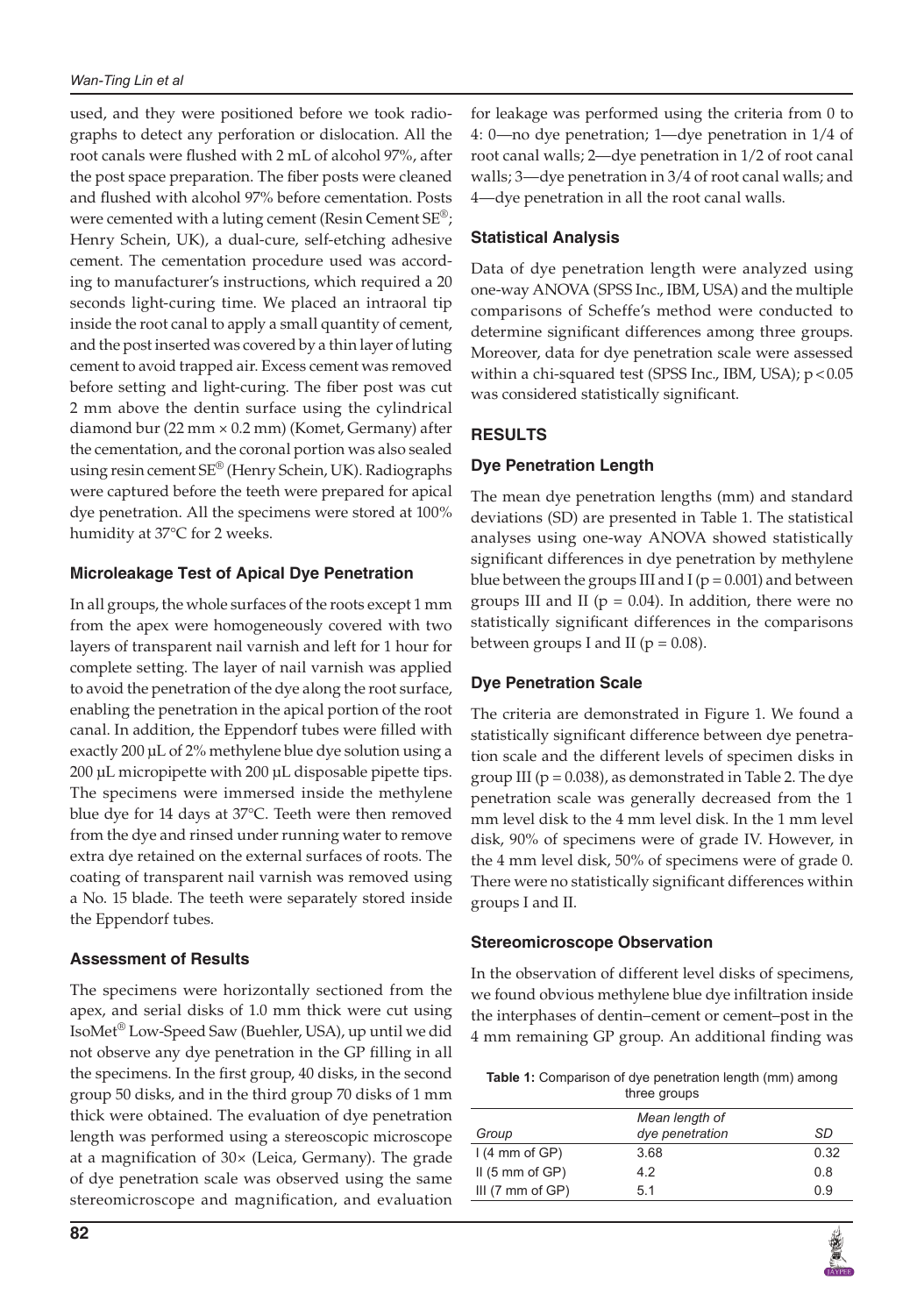used, and they were positioned before we took radiographs to detect any perforation or dislocation. All the root canals were flushed with 2 mL of alcohol 97%, after the post space preparation. The fiber posts were cleaned and flushed with alcohol 97% before cementation. Posts were cemented with a luting cement (Resin Cement  $SE^{\circledast}$ ; Henry Schein, UK), a dual-cure, self-etching adhesive cement. The cementation procedure used was according to manufacturer's instructions, which required a 20 seconds light-curing time. We placed an intraoral tip inside the root canal to apply a small quantity of cement, and the post inserted was covered by a thin layer of luting cement to avoid trapped air. Excess cement was removed before setting and light-curing. The fiber post was cut 2 mm above the dentin surface using the cylindrical diamond bur (22 mm × 0.2 mm) (Komet, Germany) after the cementation, and the coronal portion was also sealed using resin cement SE® (Henry Schein, UK). Radiographs were captured before the teeth were prepared for apical dye penetration. All the specimens were stored at 100% humidity at 37°C for 2 weeks.

#### **Microleakage Test of Apical Dye Penetration**

In all groups, the whole surfaces of the roots except 1 mm from the apex were homogeneously covered with two layers of transparent nail varnish and left for 1 hour for complete setting. The layer of nail varnish was applied to avoid the penetration of the dye along the root surface, enabling the penetration in the apical portion of the root canal. In addition, the Eppendorf tubes were filled with exactly 200 µL of 2% methylene blue dye solution using a 200 µL micropipette with 200 µL disposable pipette tips. The specimens were immersed inside the methylene blue dye for 14 days at 37°C. Teeth were then removed from the dye and rinsed under running water to remove extra dye retained on the external surfaces of roots. The coating of transparent nail varnish was removed using a No. 15 blade. The teeth were separately stored inside the Eppendorf tubes.

#### **Assessment of Results**

The specimens were horizontally sectioned from the apex, and serial disks of 1.0 mm thick were cut using IsoMet® Low-Speed Saw (Buehler, USA), up until we did not observe any dye penetration in the GP filling in all the specimens. In the first group, 40 disks, in the second group 50 disks, and in the third group 70 disks of 1 mm thick were obtained. The evaluation of dye penetration length was performed using a stereoscopic microscope at a magnification of 30× (Leica, Germany). The grade of dye penetration scale was observed using the same stereomicroscope and magnification, and evaluation

for leakage was performed using the criteria from 0 to 4: 0—no dye penetration; 1—dye penetration in 1/4 of root canal walls; 2—dye penetration in 1/2 of root canal walls; 3—dye penetration in 3/4 of root canal walls; and 4—dye penetration in all the root canal walls.

#### **Statistical Analysis**

Data of dye penetration length were analyzed using one-way ANOVA (SPSS Inc., IBM, USA) and the multiple comparisons of Scheffe's method were conducted to determine significant differences among three groups. Moreover, data for dye penetration scale were assessed within a chi-squared test (SPSS Inc., IBM, USA); p < 0.05 was considered statistically significant.

### **RESULTS**

### **Dye Penetration Length**

The mean dye penetration lengths (mm) and standard deviations (SD) are presented in Table 1. The statistical analyses using one-way ANOVA showed statistically significant differences in dye penetration by methylene blue between the groups III and I ( $p = 0.001$ ) and between groups III and II ( $p = 0.04$ ). In addition, there were no statistically significant differences in the comparisons between groups I and II ( $p = 0.08$ ).

## **Dye Penetration Scale**

The criteria are demonstrated in Figure 1. We found a statistically significant difference between dye penetration scale and the different levels of specimen disks in group III ( $p = 0.038$ ), as demonstrated in Table 2. The dye penetration scale was generally decreased from the 1 mm level disk to the 4 mm level disk. In the 1 mm level disk, 90% of specimens were of grade IV. However, in the 4 mm level disk, 50% of specimens were of grade 0. There were no statistically significant differences within groups I and II.

#### **Stereomicroscope Observation**

In the observation of different level disks of specimens, we found obvious methylene blue dye infiltration inside the interphases of dentin–cement or cement–post in the 4 mm remaining GP group. An additional finding was

| <b>Table 1:</b> Comparison of dye penetration length (mm) among |
|-----------------------------------------------------------------|
| three groups                                                    |

|                         | Mean length of  |      |
|-------------------------|-----------------|------|
| Group                   | dye penetration | SD   |
| $1(4 \text{ mm of GP})$ | 3.68            | 0.32 |
| $II$ (5 mm of GP)       | 4.2             | 0.8  |
| III(7 mm of GP)         | 5.1             | ი 9  |
|                         |                 |      |

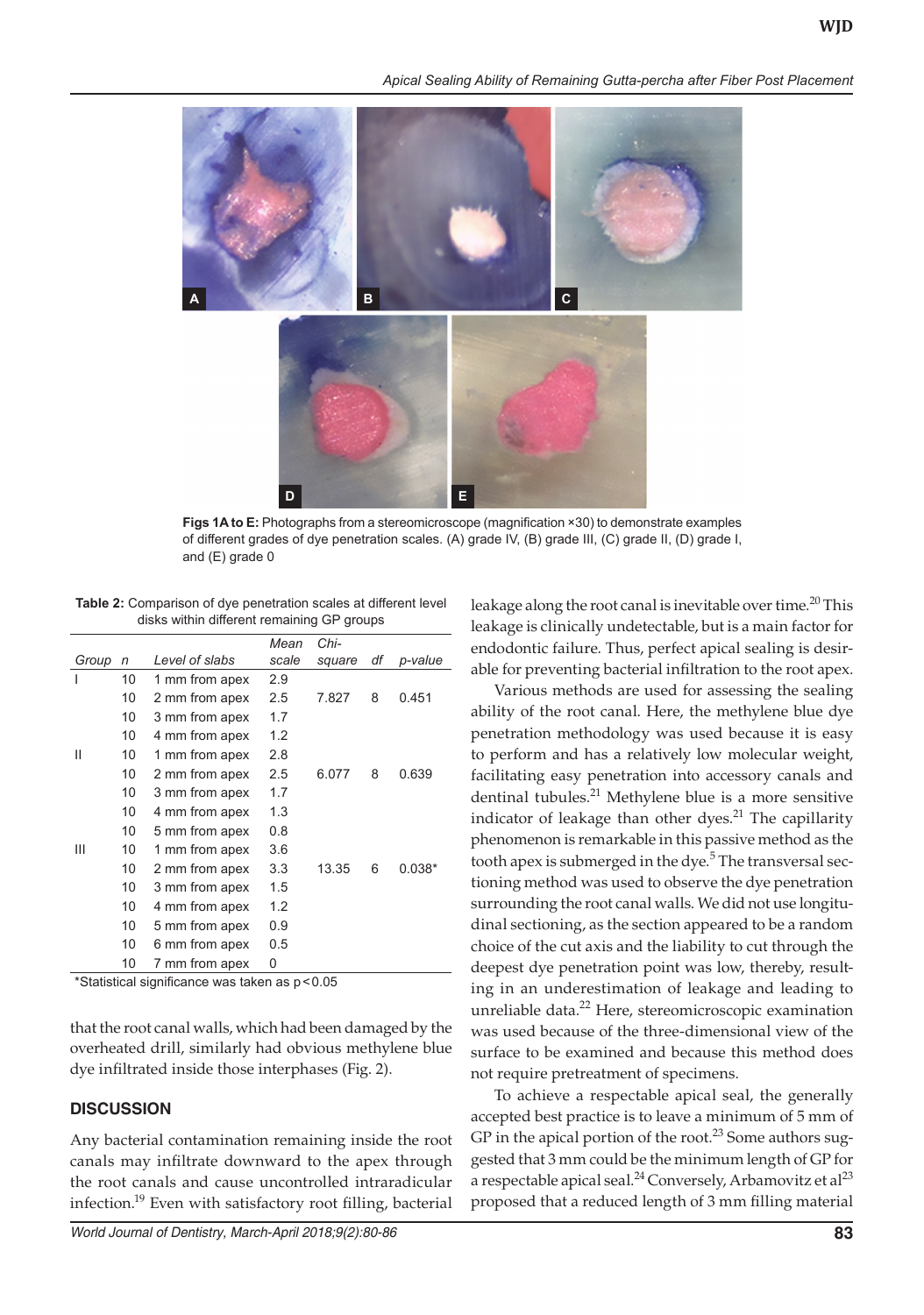*Apical Sealing Ability of Remaining Gutta-percha after Fiber Post Placement*



**Figs 1A to E:** Photographs from a stereomicroscope (magnification ×30) to demonstrate examples of different grades of dye penetration scales. (A) grade IV, (B) grade III, (C) grade II, (D) grade I, and (E) grade 0

**Table 2:** Comparison of dye penetration scales at different level disks within different remaining GP groups

|       |    |                | Mean  | Chi-   |    |          |
|-------|----|----------------|-------|--------|----|----------|
| Group | n  | Level of slabs | scale | square | df | p-value  |
|       | 10 | 1 mm from apex | 2.9   |        |    |          |
|       | 10 | 2 mm from apex | 2.5   | 7.827  | 8  | 0.451    |
|       | 10 | 3 mm from apex | 1.7   |        |    |          |
|       | 10 | 4 mm from apex | 1.2   |        |    |          |
| Ш     | 10 | 1 mm from apex | 2.8   |        |    |          |
|       | 10 | 2 mm from apex | 2.5   | 6.077  | 8  | 0.639    |
|       | 10 | 3 mm from apex | 1.7   |        |    |          |
|       | 10 | 4 mm from apex | 1.3   |        |    |          |
|       | 10 | 5 mm from apex | 0.8   |        |    |          |
| Ш     | 10 | 1 mm from apex | 3.6   |        |    |          |
|       | 10 | 2 mm from apex | 3.3   | 13.35  | 6  | $0.038*$ |
|       | 10 | 3 mm from apex | 1.5   |        |    |          |
|       | 10 | 4 mm from apex | 1.2   |        |    |          |
|       | 10 | 5 mm from apex | 0.9   |        |    |          |
|       | 10 | 6 mm from apex | 0.5   |        |    |          |
|       | 10 | 7 mm from apex | 0     |        |    |          |

\*Statistical significance was taken as p<0.05

that the root canal walls, which had been damaged by the overheated drill, similarly had obvious methylene blue dye infiltrated inside those interphases (Fig. 2).

#### **DISCUSSION**

Any bacterial contamination remaining inside the root canals may infiltrate downward to the apex through the root canals and cause uncontrolled intraradicular infection.<sup>19</sup> Even with satisfactory root filling, bacterial

leakage along the root canal is inevitable over time.<sup>20</sup> This leakage is clinically undetectable, but is a main factor for endodontic failure. Thus, perfect apical sealing is desirable for preventing bacterial infiltration to the root apex.

Various methods are used for assessing the sealing ability of the root canal. Here, the methylene blue dye penetration methodology was used because it is easy to perform and has a relatively low molecular weight, facilitating easy penetration into accessory canals and dentinal tubules.<sup>21</sup> Methylene blue is a more sensitive indicator of leakage than other dyes.<sup>21</sup> The capillarity phenomenon is remarkable in this passive method as the tooth apex is submerged in the dye.<sup>5</sup> The transversal sectioning method was used to observe the dye penetration surrounding the root canal walls. We did not use longitudinal sectioning, as the section appeared to be a random choice of the cut axis and the liability to cut through the deepest dye penetration point was low, thereby, resulting in an underestimation of leakage and leading to unreliable data.<sup>22</sup> Here, stereomicroscopic examination was used because of the three-dimensional view of the surface to be examined and because this method does not require pretreatment of specimens.

To achieve a respectable apical seal, the generally accepted best practice is to leave a minimum of 5 mm of GP in the apical portion of the root.<sup>23</sup> Some authors suggested that 3 mm could be the minimum length of GP for a respectable apical seal.<sup>24</sup> Conversely, Arbamovitz et al<sup>23</sup> proposed that a reduced length of 3 mm filling material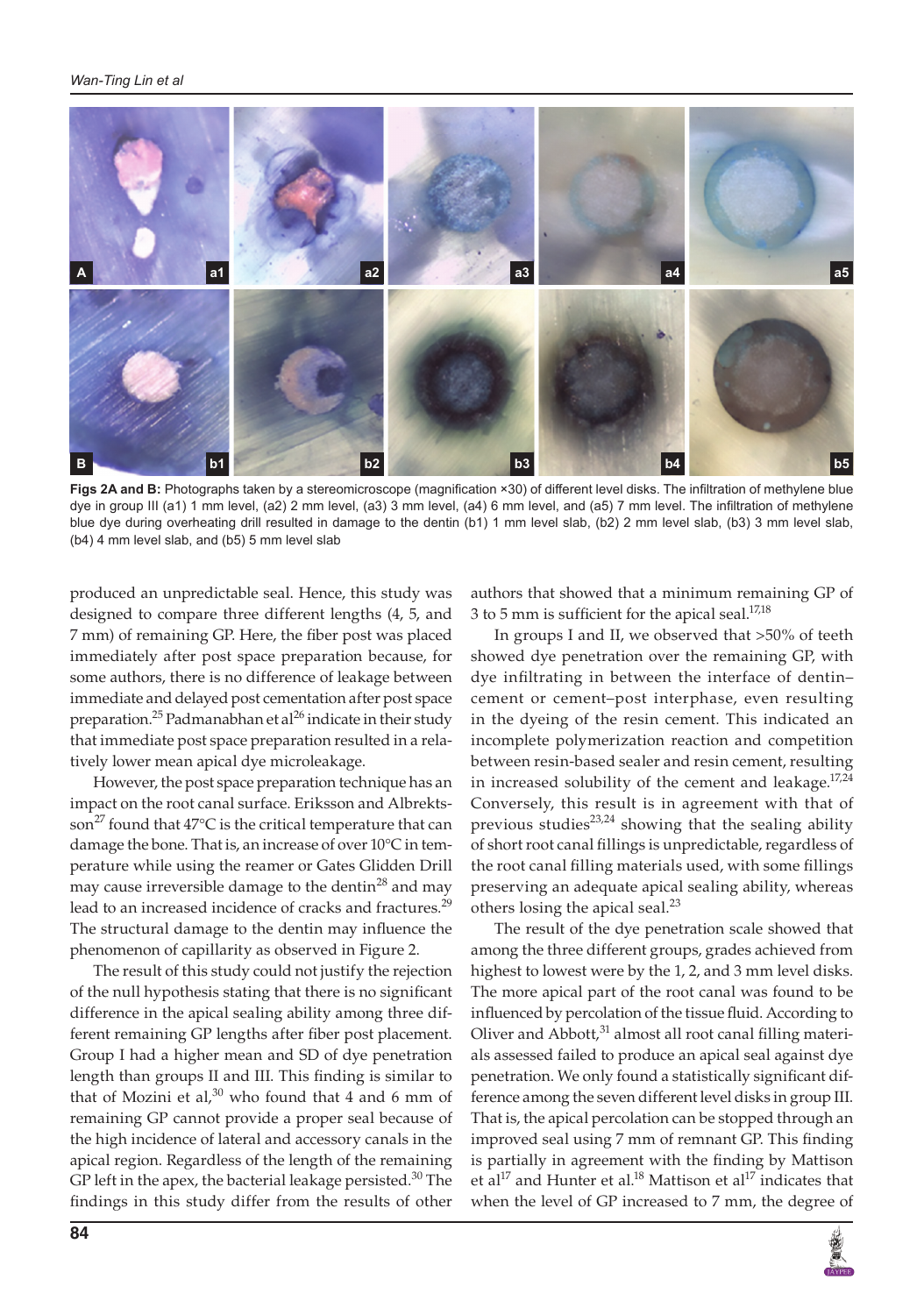

**Figs 2A and B:** Photographs taken by a stereomicroscope (magnification ×30) of different level disks. The infiltration of methylene blue dye in group III (a1) 1 mm level, (a2) 2 mm level, (a3) 3 mm level, (a4) 6 mm level, and (a5) 7 mm level. The infiltration of methylene blue dye during overheating drill resulted in damage to the dentin (b1) 1 mm level slab, (b2) 2 mm level slab, (b3) 3 mm level slab, (b4) 4 mm level slab, and (b5) 5 mm level slab

produced an unpredictable seal. Hence, this study was designed to compare three different lengths (4, 5, and 7 mm) of remaining GP. Here, the fiber post was placed immediately after post space preparation because, for some authors, there is no difference of leakage between immediate and delayed post cementation after post space preparation.<sup>25</sup> Padmanabhan et al<sup>26</sup> indicate in their study that immediate post space preparation resulted in a relatively lower mean apical dye microleakage.

However, the post space preparation technique has an impact on the root canal surface. Eriksson and Albrektsson<sup>27</sup> found that  $47^{\circ}$ C is the critical temperature that can damage the bone. That is, an increase of over 10°C in temperature while using the reamer or Gates Glidden Drill may cause irreversible damage to the dentin $^{28}$  and may lead to an increased incidence of cracks and fractures.<sup>29</sup> The structural damage to the dentin may influence the phenomenon of capillarity as observed in Figure 2.

The result of this study could not justify the rejection of the null hypothesis stating that there is no significant difference in the apical sealing ability among three different remaining GP lengths after fiber post placement. Group I had a higher mean and SD of dye penetration length than groups II and III. This finding is similar to that of Mozini et al, $30$  who found that 4 and 6 mm of remaining GP cannot provide a proper seal because of the high incidence of lateral and accessory canals in the apical region. Regardless of the length of the remaining GP left in the apex, the bacterial leakage persisted.<sup>30</sup> The findings in this study differ from the results of other

authors that showed that a minimum remaining GP of 3 to 5 mm is sufficient for the apical seal. $17,18$ 

In groups I and II, we observed that >50% of teeth showed dye penetration over the remaining GP, with dye infiltrating in between the interface of dentin– cement or cement–post interphase, even resulting in the dyeing of the resin cement. This indicated an incomplete polymerization reaction and competition between resin-based sealer and resin cement, resulting in increased solubility of the cement and leakage. $17,24$ Conversely, this result is in agreement with that of previous studies<sup>23,24</sup> showing that the sealing ability of short root canal fillings is unpredictable, regardless of the root canal filling materials used, with some fillings preserving an adequate apical sealing ability, whereas others losing the apical seal.<sup>23</sup>

The result of the dye penetration scale showed that among the three different groups, grades achieved from highest to lowest were by the 1, 2, and 3 mm level disks. The more apical part of the root canal was found to be influenced by percolation of the tissue fluid. According to Oliver and Abbott,<sup>31</sup> almost all root canal filling materials assessed failed to produce an apical seal against dye penetration. We only found a statistically significant difference among the seven different level disks in group III. That is, the apical percolation can be stopped through an improved seal using 7 mm of remnant GP. This finding is partially in agreement with the finding by Mattison et al<sup>17</sup> and Hunter et al.<sup>18</sup> Mattison et al<sup>17</sup> indicates that when the level of GP increased to 7 mm, the degree of

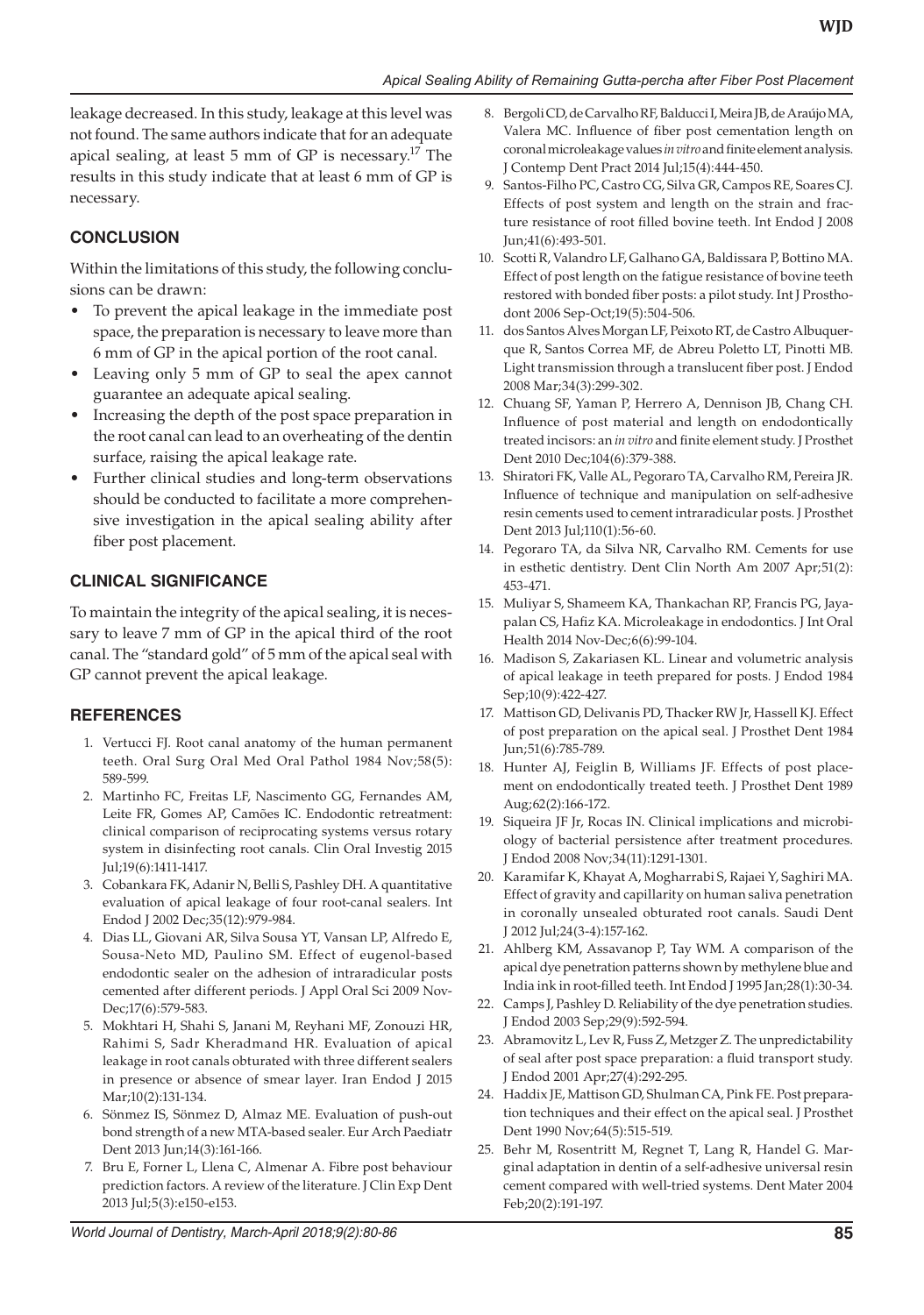leakage decreased. In this study, leakage at this level was not found. The same authors indicate that for an adequate apical sealing, at least  $5$  mm of GP is necessary.<sup>17</sup> The results in this study indicate that at least 6 mm of GP is necessary.

#### **CONCLUSION**

Within the limitations of this study, the following conclusions can be drawn:

- To prevent the apical leakage in the immediate post space, the preparation is necessary to leave more than 6 mm of GP in the apical portion of the root canal.
- • Leaving only 5 mm of GP to seal the apex cannot guarantee an adequate apical sealing.
- Increasing the depth of the post space preparation in the root canal can lead to an overheating of the dentin surface, raising the apical leakage rate.
- • Further clinical studies and long-term observations should be conducted to facilitate a more comprehensive investigation in the apical sealing ability after fiber post placement.

#### **Clinical Significance**

To maintain the integrity of the apical sealing, it is necessary to leave 7 mm of GP in the apical third of the root canal. The "standard gold" of 5 mm of the apical seal with GP cannot prevent the apical leakage.

#### **REFERENCES**

- 1. Vertucci FJ. Root canal anatomy of the human permanent teeth. Oral Surg Oral Med Oral Pathol 1984 Nov;58(5): 589-599.
- 2. Martinho FC, Freitas LF, Nascimento GG, Fernandes AM, Leite FR, Gomes AP, Camões IC. Endodontic retreatment: clinical comparison of reciprocating systems versus rotary system in disinfecting root canals. Clin Oral Investig 2015 Jul;19(6):1411-1417.
- 3. Cobankara FK, Adanir N, Belli S, Pashley DH. A quantitative evaluation of apical leakage of four root-canal sealers. Int Endod J 2002 Dec;35(12):979-984.
- 4. Dias LL, Giovani AR, Silva Sousa YT, Vansan LP, Alfredo E, Sousa-Neto MD, Paulino SM. Effect of eugenol-based endodontic sealer on the adhesion of intraradicular posts cemented after different periods. J Appl Oral Sci 2009 Nov-Dec;17(6):579-583.
- 5. Mokhtari H, Shahi S, Janani M, Reyhani MF, Zonouzi HR, Rahimi S, Sadr Kheradmand HR. Evaluation of apical leakage in root canals obturated with three different sealers in presence or absence of smear layer. Iran Endod J 2015 Mar;10(2):131-134.
- 6. Sönmez IS, Sönmez D, Almaz ME. Evaluation of push-out bond strength of a new MTA-based sealer. Eur Arch Paediatr Dent 2013 Jun;14(3):161-166.
- 7. Bru E, Forner L, Llena C, Almenar A. Fibre post behaviour prediction factors. A review of the literature. J Clin Exp Dent 2013 Jul;5(3):e150-e153.
- 8. Bergoli CD, de Carvalho RF, Balducci I, Meira JB, de Araújo MA, Valera MC. Influence of fiber post cementation length on coronal microleakage values *in vitro* and finite element analysis. J Contemp Dent Pract 2014 Jul;15(4):444-450.
- 9. Santos-Filho PC, Castro CG, Silva GR, Campos RE, Soares CJ. Effects of post system and length on the strain and fracture resistance of root filled bovine teeth. Int Endod J 2008 Jun;41(6):493-501.
- 10. Scotti R, Valandro LF, Galhano GA, Baldissara P, Bottino MA. Effect of post length on the fatigue resistance of bovine teeth restored with bonded fiber posts: a pilot study. Int J Prosthodont 2006 Sep-Oct;19(5):504-506.
- 11. dos Santos Alves Morgan LF, Peixoto RT, de Castro Albuquerque R, Santos Correa MF, de Abreu Poletto LT, Pinotti MB. Light transmission through a translucent fiber post. J Endod 2008 Mar;34(3):299-302.
- 12. Chuang SF, Yaman P, Herrero A, Dennison JB, Chang CH. Influence of post material and length on endodontically treated incisors: an *in vitro* and finite element study. J Prosthet Dent 2010 Dec;104(6):379-388.
- 13. Shiratori FK, Valle AL, Pegoraro TA, Carvalho RM, Pereira JR. Influence of technique and manipulation on self-adhesive resin cements used to cement intraradicular posts. J Prosthet Dent 2013 Jul;110(1):56-60.
- 14. Pegoraro TA, da Silva NR, Carvalho RM. Cements for use in esthetic dentistry. Dent Clin North Am 2007 Apr;51(2): 453-471.
- 15. Muliyar S, Shameem KA, Thankachan RP, Francis PG, Jayapalan CS, Hafiz KA. Microleakage in endodontics. J Int Oral Health 2014 Nov-Dec;6(6):99-104.
- 16. Madison S, Zakariasen KL. Linear and volumetric analysis of apical leakage in teeth prepared for posts. J Endod 1984 Sep;10(9):422-427.
- 17. Mattison GD, Delivanis PD, Thacker RW Jr, Hassell KJ. Effect of post preparation on the apical seal. J Prosthet Dent 1984 Jun;51(6):785-789.
- 18. Hunter AJ, Feiglin B, Williams JF. Effects of post placement on endodontically treated teeth. J Prosthet Dent 1989 Aug;62(2):166-172.
- 19. Siqueira JF Jr, Rocas IN. Clinical implications and microbiology of bacterial persistence after treatment procedures. J Endod 2008 Nov;34(11):1291-1301.
- 20. Karamifar K, Khayat A, Mogharrabi S, Rajaei Y, Saghiri MA. Effect of gravity and capillarity on human saliva penetration in coronally unsealed obturated root canals. Saudi Dent J 2012 Jul;24(3-4):157-162.
- 21. Ahlberg KM, Assavanop P, Tay WM. A comparison of the apical dye penetration patterns shown by methylene blue and India ink in root-filled teeth. Int Endod J 1995 Jan;28(1):30-34.
- 22. Camps J, Pashley D. Reliability of the dye penetration studies. J Endod 2003 Sep;29(9):592-594.
- 23. Abramovitz L, Lev R, Fuss Z, Metzger Z. The unpredictability of seal after post space preparation: a fluid transport study. J Endod 2001 Apr;27(4):292-295.
- 24. Haddix JE, Mattison GD, Shulman CA, Pink FE. Post preparation techniques and their effect on the apical seal. J Prosthet Dent 1990 Nov;64(5):515-519.
- 25. Behr M, Rosentritt M, Regnet T, Lang R, Handel G. Marginal adaptation in dentin of a self-adhesive universal resin cement compared with well-tried systems. Dent Mater 2004 Feb;20(2):191-197.